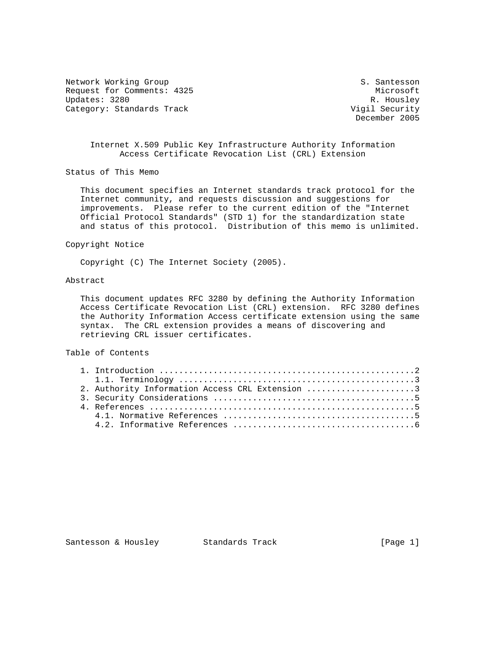Network Working Group S. Santesson Request for Comments: 4325 Microsoft Updates: 3280 R. Housley<br>Category: Standards Track Category: Standards Track Category: Standards Track

December 2005

## Internet X.509 Public Key Infrastructure Authority Information Access Certificate Revocation List (CRL) Extension

Status of This Memo

 This document specifies an Internet standards track protocol for the Internet community, and requests discussion and suggestions for improvements. Please refer to the current edition of the "Internet Official Protocol Standards" (STD 1) for the standardization state and status of this protocol. Distribution of this memo is unlimited.

#### Copyright Notice

Copyright (C) The Internet Society (2005).

# Abstract

 This document updates RFC 3280 by defining the Authority Information Access Certificate Revocation List (CRL) extension. RFC 3280 defines the Authority Information Access certificate extension using the same syntax. The CRL extension provides a means of discovering and retrieving CRL issuer certificates.

### Table of Contents

| 2. Authority Information Access CRL Extension 3 |  |
|-------------------------------------------------|--|
|                                                 |  |
|                                                 |  |
|                                                 |  |
|                                                 |  |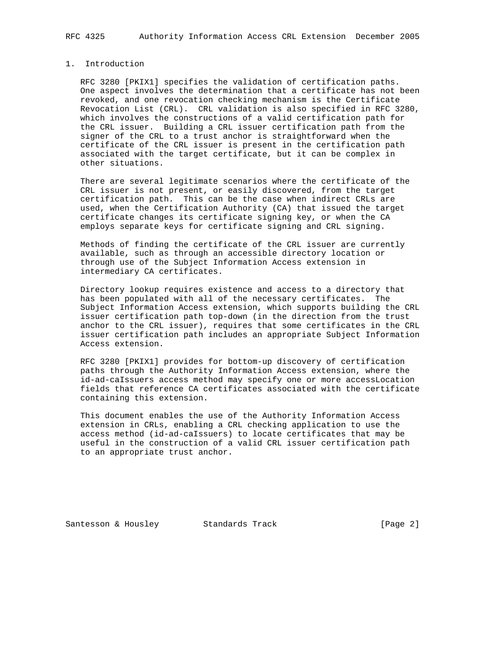## 1. Introduction

 RFC 3280 [PKIX1] specifies the validation of certification paths. One aspect involves the determination that a certificate has not been revoked, and one revocation checking mechanism is the Certificate Revocation List (CRL). CRL validation is also specified in RFC 3280, which involves the constructions of a valid certification path for the CRL issuer. Building a CRL issuer certification path from the signer of the CRL to a trust anchor is straightforward when the certificate of the CRL issuer is present in the certification path associated with the target certificate, but it can be complex in other situations.

 There are several legitimate scenarios where the certificate of the CRL issuer is not present, or easily discovered, from the target certification path. This can be the case when indirect CRLs are used, when the Certification Authority (CA) that issued the target certificate changes its certificate signing key, or when the CA employs separate keys for certificate signing and CRL signing.

 Methods of finding the certificate of the CRL issuer are currently available, such as through an accessible directory location or through use of the Subject Information Access extension in intermediary CA certificates.

 Directory lookup requires existence and access to a directory that has been populated with all of the necessary certificates. The Subject Information Access extension, which supports building the CRL issuer certification path top-down (in the direction from the trust anchor to the CRL issuer), requires that some certificates in the CRL issuer certification path includes an appropriate Subject Information Access extension.

 RFC 3280 [PKIX1] provides for bottom-up discovery of certification paths through the Authority Information Access extension, where the id-ad-caIssuers access method may specify one or more accessLocation fields that reference CA certificates associated with the certificate containing this extension.

 This document enables the use of the Authority Information Access extension in CRLs, enabling a CRL checking application to use the access method (id-ad-caIssuers) to locate certificates that may be useful in the construction of a valid CRL issuer certification path to an appropriate trust anchor.

Santesson & Housley Standards Track [Page 2]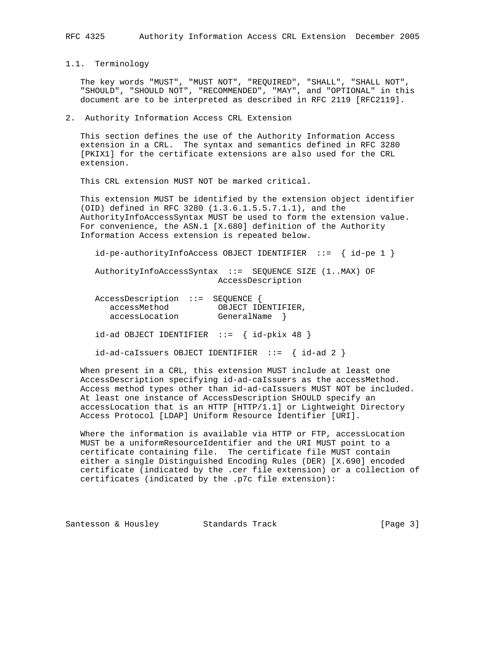1.1. Terminology

 The key words "MUST", "MUST NOT", "REQUIRED", "SHALL", "SHALL NOT", "SHOULD", "SHOULD NOT", "RECOMMENDED", "MAY", and "OPTIONAL" in this document are to be interpreted as described in RFC 2119 [RFC2119].

### 2. Authority Information Access CRL Extension

 This section defines the use of the Authority Information Access extension in a CRL. The syntax and semantics defined in RFC 3280 [PKIX1] for the certificate extensions are also used for the CRL extension.

This CRL extension MUST NOT be marked critical.

 This extension MUST be identified by the extension object identifier (OID) defined in RFC 3280 (1.3.6.1.5.5.7.1.1), and the AuthorityInfoAccessSyntax MUST be used to form the extension value. For convenience, the ASN.1 [X.680] definition of the Authority Information Access extension is repeated below.

id-pe-authorityInfoAccess OBJECT IDENTIFIER ::= { id-pe 1 }

 AuthorityInfoAccessSyntax ::= SEQUENCE SIZE (1..MAX) OF AccessDescription

| AccessDescription ::= SEQUENCE {                 |                                                        |  |
|--------------------------------------------------|--------------------------------------------------------|--|
| accessMethod                                     | OBJECT IDENTIFIER,                                     |  |
| accessLocation                                   | GeneralName }                                          |  |
| $id$ -ad OBJECT IDENTIFIER ::= { $id$ -pkix 48 } |                                                        |  |
|                                                  | $id-ad-caI$ ssuers OBJECT IDENTIFIER ::= { $id-ad 2$ } |  |

 When present in a CRL, this extension MUST include at least one AccessDescription specifying id-ad-caIssuers as the accessMethod. Access method types other than id-ad-caIssuers MUST NOT be included. At least one instance of AccessDescription SHOULD specify an accessLocation that is an HTTP [HTTP/1.1] or Lightweight Directory Access Protocol [LDAP] Uniform Resource Identifier [URI].

 Where the information is available via HTTP or FTP, accessLocation MUST be a uniformResourceIdentifier and the URI MUST point to a certificate containing file. The certificate file MUST contain either a single Distinguished Encoding Rules (DER) [X.690] encoded certificate (indicated by the .cer file extension) or a collection of certificates (indicated by the .p7c file extension):

Santesson & Housley Standards Track [Page 3]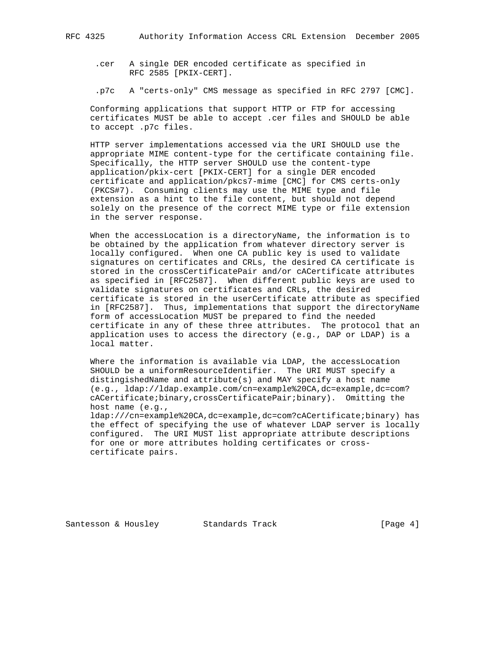- .cer A single DER encoded certificate as specified in RFC 2585 [PKIX-CERT].
- .p7c A "certs-only" CMS message as specified in RFC 2797 [CMC].

 Conforming applications that support HTTP or FTP for accessing certificates MUST be able to accept .cer files and SHOULD be able to accept .p7c files.

 HTTP server implementations accessed via the URI SHOULD use the appropriate MIME content-type for the certificate containing file. Specifically, the HTTP server SHOULD use the content-type application/pkix-cert [PKIX-CERT] for a single DER encoded certificate and application/pkcs7-mime [CMC] for CMS certs-only (PKCS#7). Consuming clients may use the MIME type and file extension as a hint to the file content, but should not depend solely on the presence of the correct MIME type or file extension in the server response.

 When the accessLocation is a directoryName, the information is to be obtained by the application from whatever directory server is locally configured. When one CA public key is used to validate signatures on certificates and CRLs, the desired CA certificate is stored in the crossCertificatePair and/or cACertificate attributes as specified in [RFC2587]. When different public keys are used to validate signatures on certificates and CRLs, the desired certificate is stored in the userCertificate attribute as specified in [RFC2587]. Thus, implementations that support the directoryName form of accessLocation MUST be prepared to find the needed certificate in any of these three attributes. The protocol that an application uses to access the directory (e.g., DAP or LDAP) is a local matter.

Where the information is available via LDAP, the accessLocation SHOULD be a uniformResourceIdentifier. The URI MUST specify a distingishedName and attribute(s) and MAY specify a host name (e.g., ldap://ldap.example.com/cn=example%20CA,dc=example,dc=com? cACertificate;binary,crossCertificatePair;binary). Omitting the host name (e.g.,

 ldap:///cn=example%20CA,dc=example,dc=com?cACertificate;binary) has the effect of specifying the use of whatever LDAP server is locally configured. The URI MUST list appropriate attribute descriptions for one or more attributes holding certificates or cross certificate pairs.

Santesson & Housley Standards Track [Page 4]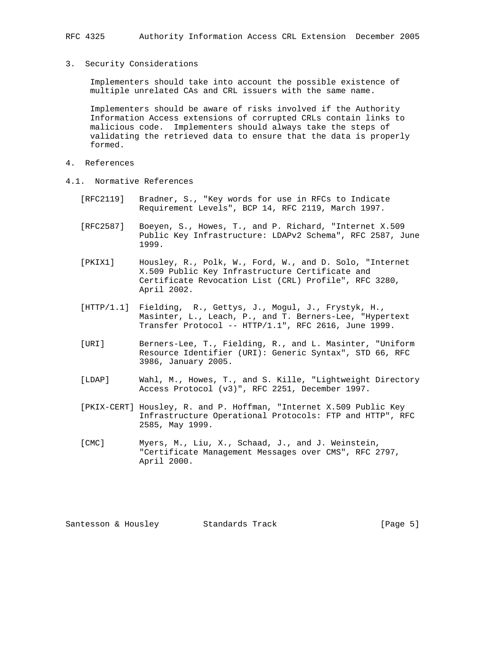#### 3. Security Considerations

 Implementers should take into account the possible existence of multiple unrelated CAs and CRL issuers with the same name.

 Implementers should be aware of risks involved if the Authority Information Access extensions of corrupted CRLs contain links to malicious code. Implementers should always take the steps of validating the retrieved data to ensure that the data is properly formed.

- 4. References
- 4.1. Normative References
	- [RFC2119] Bradner, S., "Key words for use in RFCs to Indicate Requirement Levels", BCP 14, RFC 2119, March 1997.
	- [RFC2587] Boeyen, S., Howes, T., and P. Richard, "Internet X.509 Public Key Infrastructure: LDAPv2 Schema", RFC 2587, June 1999.
	- [PKIX1] Housley, R., Polk, W., Ford, W., and D. Solo, "Internet X.509 Public Key Infrastructure Certificate and Certificate Revocation List (CRL) Profile", RFC 3280, April 2002.
	- [HTTP/1.1] Fielding, R., Gettys, J., Mogul, J., Frystyk, H., Masinter, L., Leach, P., and T. Berners-Lee, "Hypertext Transfer Protocol -- HTTP/1.1", RFC 2616, June 1999.
	- [URI] Berners-Lee, T., Fielding, R., and L. Masinter, "Uniform Resource Identifier (URI): Generic Syntax", STD 66, RFC 3986, January 2005.
	- [LDAP] Wahl, M., Howes, T., and S. Kille, "Lightweight Directory Access Protocol (v3)", RFC 2251, December 1997.
	- [PKIX-CERT] Housley, R. and P. Hoffman, "Internet X.509 Public Key Infrastructure Operational Protocols: FTP and HTTP", RFC 2585, May 1999.
	- [CMC] Myers, M., Liu, X., Schaad, J., and J. Weinstein, "Certificate Management Messages over CMS", RFC 2797, April 2000.

Santesson & Housley Standards Track [Page 5]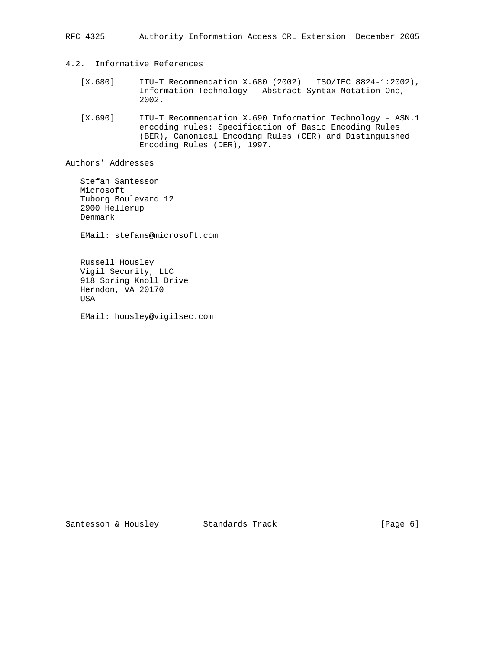RFC 4325 Authority Information Access CRL Extension December 2005

## 4.2. Informative References

- [X.680] ITU-T Recommendation X.680 (2002) | ISO/IEC 8824-1:2002), Information Technology - Abstract Syntax Notation One, 2002.
- [X.690] ITU-T Recommendation X.690 Information Technology ASN.1 encoding rules: Specification of Basic Encoding Rules (BER), Canonical Encoding Rules (CER) and Distinguished Encoding Rules (DER), 1997.

Authors' Addresses

 Stefan Santesson Microsoft Tuborg Boulevard 12 2900 Hellerup Denmark

EMail: stefans@microsoft.com

 Russell Housley Vigil Security, LLC 918 Spring Knoll Drive Herndon, VA 20170 USA

EMail: housley@vigilsec.com